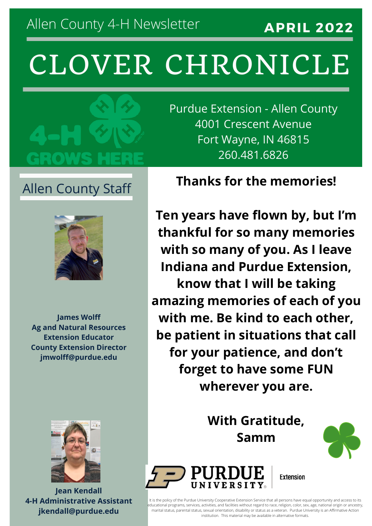**APRIL 2022**

# CLOVER CHRONICLE



Allen County Staff



**James Wolff Ag and Natural Resources Extension Educator County Extension Director jmwolff@purdue.edu**



**Jean Kendall 4-H Administrative Assistant jkendall@purdue.edu**

Purdue Extension - Allen County 4001 Crescent Avenue Fort Wayne, IN 46815 260.481.6826

#### **Thanks for the memories!**

**Ten years have flown by, but I'm thankful for so many memories with so many of you. As I leave Indiana and Purdue Extension, know that I will be taking amazing memories of each of you with me. Be kind to each other, be patient in situations that call for your patience, and don't forget to have some FUN wherever you are.**

> **With Gratitude, Samm**





**Extension** 

It is the policy of the Purdue University Cooperative Extension Service that all persons have equal opportunity and access to its educational programs, services, activities, and facilities without regard to race, religion, color, sex, age, national origin or ancestry, marital status, parental status, sexual orientation, disability or status as a veteran. Purdue University is an Affirmative Action institution. This material may be available in alternative formats.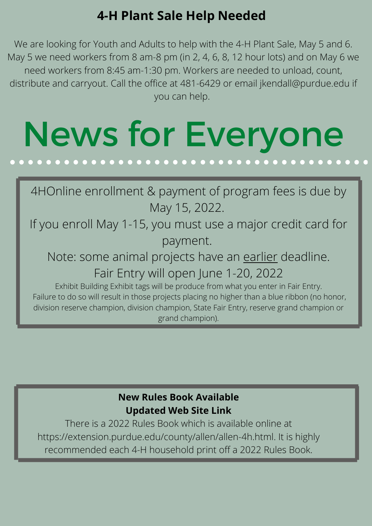### **4-H Plant Sale Help Needed**

We are looking for Youth and Adults to help with the 4-H Plant Sale, May 5 and 6. May 5 we need workers from 8 am-8 pm (in 2, 4, 6, 8, 12 hour lots) and on May 6 we need workers from 8:45 am-1:30 pm. Workers are needed to unload, count, distribute and carryout. Call the office at 481-6429 or email jkendall@purdue.edu if you can help.

## News for Everyone

4HOnline enrollment & payment of program fees is due by May 15, 2022.

If you enroll May 1-15, you must use a major credit card for payment.

Note: some animal projects have an earlier deadline. Fair Entry will open June 1-20, 2022

Exhibit Building Exhibit tags will be produce from what you enter in Fair Entry. Failure to do so will result in those projects placing no higher than a blue ribbon (no honor, division reserve champion, division champion, State Fair Entry, reserve grand champion or grand champion).

#### **New Rules Book Available Updated Web Site Link**

There is a 2022 Rules Book which is available online at https://extension.purdue.edu/county/allen/allen-4h.html. It is highly recommended each 4-H household print off a 2022 Rules Book.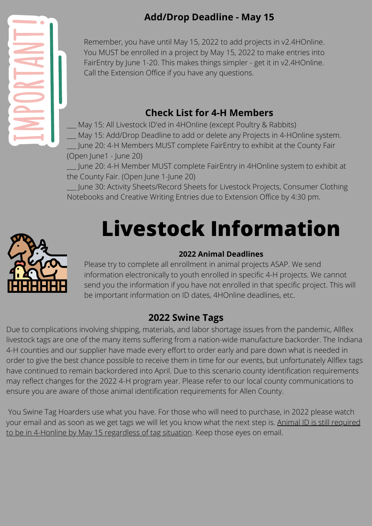#### **Add/Drop Deadline - May 15**



Remember, you have until May 15, 2022 to add projects in v2.4HOnline. You MUST be enrolled in a project by May 15, 2022 to make entries into FairEntry by June 1-20. This makes things simpler - get it in v2.4HOnline. Call the Extension Office if you have any questions.

#### **Check List for 4-H Members**

May 15: All Livestock ID'ed in 4HOnline (except Poultry & Rabbits)

May 15: Add/Drop Deadline to add or delete any Projects in 4-HOnline system.

June 20: 4-H Members MUST complete FairEntry to exhibit at the County Fair (Open June1 - June 20)

\_\_\_ June 20: 4-H Member MUST complete FairEntry in 4HOnline system to exhibit at the County Fair. (Open June 1-June 20)

June 30: Activity Sheets/Record Sheets for Livestock Projects, Consumer Clothing Notebooks and Creative Writing Entries due to Extension Office by 4:30 pm.

# **Livestock Information**



#### **2022 Animal Deadlines**

Please try to complete all enrollment in animal projects ASAP. We send information electronically to youth enrolled in specific 4-H projects. We cannot send you the information if you have not enrolled in that specific project. This will be important information on ID dates, 4HOnline deadlines, etc.

#### **2022 Swine Tags**

Due to complications involving shipping, materials, and labor shortage issues from the pandemic, Allflex livestock tags are one of the many items suffering from a nation-wide manufacture backorder. The Indiana 4-H counties and our supplier have made every effort to order early and pare down what is needed in order to give the best chance possible to receive them in time for our events, but unfortunately Allflex tags have continued to remain backordered into April. Due to this scenario county identification requirements may reflect changes for the 2022 4-H program year. Please refer to our local county communications to ensure you are aware of those animal identification requirements for Allen County.

You Swine Tag Hoarders use what you have. For those who will need to purchase, in 2022 please watch your email and as soon as we get tags we will let you know what the next step is. Animal ID is still required to be in 4-Honline by May 15 regardless of tag situation. Keep those eyes on email.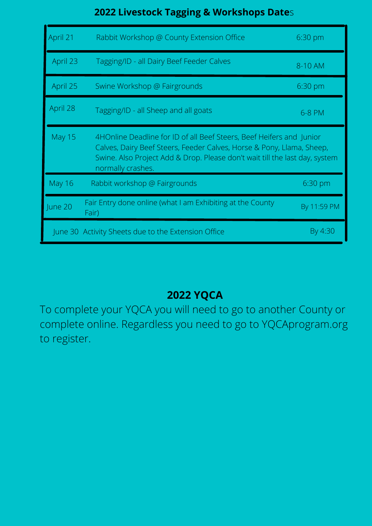#### **2022 Livestock Tagging & Workshops Date**s

| April 21      | Rabbit Workshop @ County Extension Office                                                                                                                                                                                                         | $6:30$ pm   |  |
|---------------|---------------------------------------------------------------------------------------------------------------------------------------------------------------------------------------------------------------------------------------------------|-------------|--|
| April 23      | Tagging/ID - all Dairy Beef Feeder Calves                                                                                                                                                                                                         | 8-10 AM     |  |
| April 25      | Swine Workshop @ Fairgrounds                                                                                                                                                                                                                      | 6:30 pm     |  |
| April 28      | Tagging/ID - all Sheep and all goats                                                                                                                                                                                                              | 6-8 PM      |  |
| <b>May 15</b> | 4HOnline Deadline for ID of all Beef Steers, Beef Heifers and Junior<br>Calves, Dairy Beef Steers, Feeder Calves, Horse & Pony, Llama, Sheep,<br>Swine. Also Project Add & Drop. Please don't wait till the last day, system<br>normally crashes. |             |  |
| <b>May 16</b> | Rabbit workshop @ Fairgrounds                                                                                                                                                                                                                     | 6:30 pm     |  |
| June 20       | Fair Entry done online (what I am Exhibiting at the County<br>Fair)                                                                                                                                                                               | By 11:59 PM |  |
|               | June 30 Activity Sheets due to the Extension Office                                                                                                                                                                                               | By 4:30     |  |

#### **2022 YQCA**

To complete your YQCA you will need to go to another County or complete online. Regardless you need to go to YQCAprogram.org to register.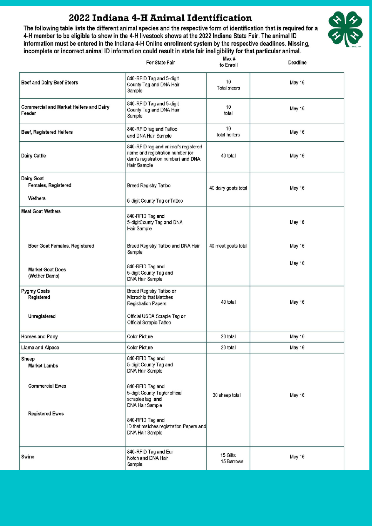#### 2022 Indiana 4-H Animal Identification

The following table lists the different animal species and the respective form of identification that is required for a 4-H member to be eligible to show in the 4-H livestock shows at the 2022 Indiana State Fair. The animal ID information must be entered in the Indiana 4-H Online enrollment system by the respective deadlines. Missing, incomplete or incorrect animal ID information could result in state fair ineligibility for that particular animal.



|                                                          | <b>For State Fair</b>                                                                                                                                           | Max #<br>to Enroll        | <b>Deadline</b> |
|----------------------------------------------------------|-----------------------------------------------------------------------------------------------------------------------------------------------------------------|---------------------------|-----------------|
| <b>Beef and Dairy Beef Steers</b>                        | 840-RFID Tag and 5-digit<br>County Tag and DNA Hair<br>Sample                                                                                                   | 10<br><b>Total steers</b> | May 16          |
| <b>Commercial and Market Heifers and Dairy</b><br>Feeder | 840-RFID Tag and 5-digit<br>County Tag and DNA Hair<br>Sample                                                                                                   | 10<br>total               | May 16          |
| Beef, Registered Heifers                                 | 840-RFID tag and Tattoo<br>and DNA Hair Sample                                                                                                                  | 10<br>total heifers       | May 16          |
| Dairy Cattle                                             | 840-RFID tag and animal's registered<br>name and registration number (or<br>dam's registration number) and DNA<br><b>Hair Sample</b>                            | 40 total                  | May 16          |
| <b>Dairy Goat</b><br><b>Females, Registered</b>          | <b>Breed Registry Tattoo</b>                                                                                                                                    | 40 dairy goats total      | May 16          |
| Wethers                                                  | 5-digit County Tag or Tattoo                                                                                                                                    |                           |                 |
| <b>Meat Goat Wethers</b>                                 | 840-RFID Tag and<br>5-digitCounty Tag and DNA<br>Hair Sample                                                                                                    |                           | May 16          |
| Boer Goat Females, Registered                            | Breed Registry Tattoo and DNA Hair<br>Sample                                                                                                                    | 40 meat goats total       | May 16          |
| <b>Market Goat Does</b><br>(Wether Dams)                 | 840-RFID Tag and<br>5-digit County Tag and<br><b>DNA Hair Sample</b>                                                                                            |                           | May 16          |
| <b>Pygmy Goats</b><br>Registered                         | Breed Registry Tattoo or<br>Microchip that Matches<br><b>Registration Papers</b>                                                                                | 40 total                  | May 16          |
| Unregistered                                             | Official USDA Scrapie Tag or<br>Official Scrapie Tattoo                                                                                                         |                           |                 |
| <b>Horses and Pony</b>                                   | <b>Color Picture</b>                                                                                                                                            | 20 total                  | May 16          |
| Llama and Alpaca                                         | <b>Color Picture</b>                                                                                                                                            | 20 total                  | May 16          |
| Sheep<br><b>Market Lambs</b>                             | 840-RFID Tag and<br>5-digit County Tag and<br><b>DNA Hair Sample</b>                                                                                            |                           |                 |
| <b>Commercial Ewes</b><br><b>Registered Ewes</b>         | 840-RFID Tag and<br>5-digit County Tag/or official<br>scrapies tag and<br><b>DNA Hair Sample</b><br>840-RFID Tag and<br>ID that matches registration Papers and | 30 sheep total            | May 16          |
|                                                          | <b>DNA Hair Sample</b>                                                                                                                                          |                           |                 |
| Swine                                                    | 840-RFID Tag and Ear<br>Notch and DNA Hair<br>Sample                                                                                                            | 15 Gilts<br>15 Barrows    | May 16          |